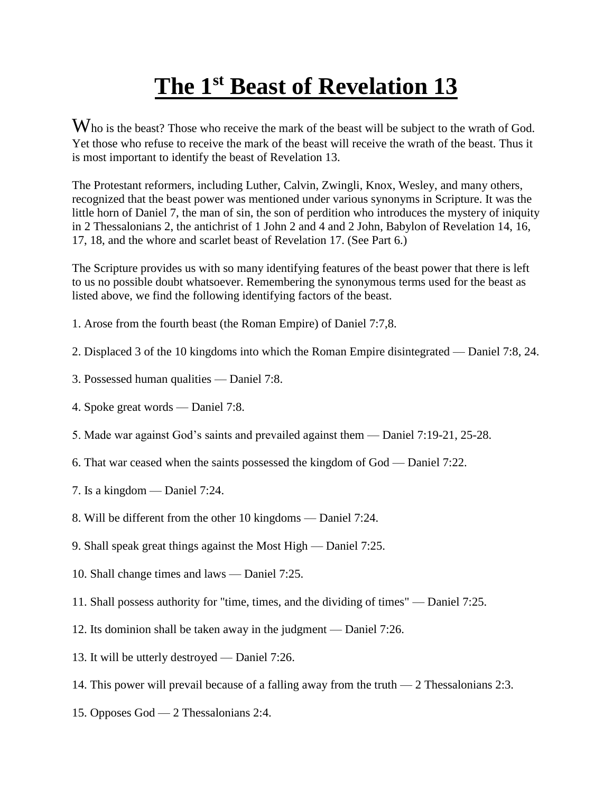## **The 1st Beast of Revelation 13**

Who is the beast? Those who receive the mark of the beast will be subject to the wrath of God. Yet those who refuse to receive the mark of the beast will receive the wrath of the beast. Thus it is most important to identify the beast of Revelation 13.

The Protestant reformers, including Luther, Calvin, Zwingli, Knox, Wesley, and many others, recognized that the beast power was mentioned under various synonyms in Scripture. It was the little horn of Daniel 7, the man of sin, the son of perdition who introduces the mystery of iniquity in 2 Thessalonians 2, the antichrist of 1 John 2 and 4 and 2 John, Babylon of Revelation 14, 16, 17, 18, and the whore and scarlet beast of Revelation 17. (See Part 6.)

The Scripture provides us with so many identifying features of the beast power that there is left to us no possible doubt whatsoever. Remembering the synonymous terms used for the beast as listed above, we find the following identifying factors of the beast.

- 1. Arose from the fourth beast (the Roman Empire) of Daniel 7:7,8.
- 2. Displaced 3 of the 10 kingdoms into which the Roman Empire disintegrated Daniel 7:8, 24.
- 3. Possessed human qualities Daniel 7:8.
- 4. Spoke great words Daniel 7:8.
- 5. Made war against God's saints and prevailed against them Daniel 7:19-21, 25-28.
- 6. That war ceased when the saints possessed the kingdom of God Daniel 7:22.
- 7. Is a kingdom Daniel 7:24.
- 8. Will be different from the other 10 kingdoms Daniel 7:24.
- 9. Shall speak great things against the Most High Daniel 7:25.
- 10. Shall change times and laws Daniel 7:25.
- 11. Shall possess authority for "time, times, and the dividing of times" Daniel 7:25.
- 12. Its dominion shall be taken away in the judgment Daniel 7:26.
- 13. It will be utterly destroyed Daniel 7:26.
- 14. This power will prevail because of a falling away from the truth 2 Thessalonians 2:3.
- 15. Opposes God 2 Thessalonians 2:4.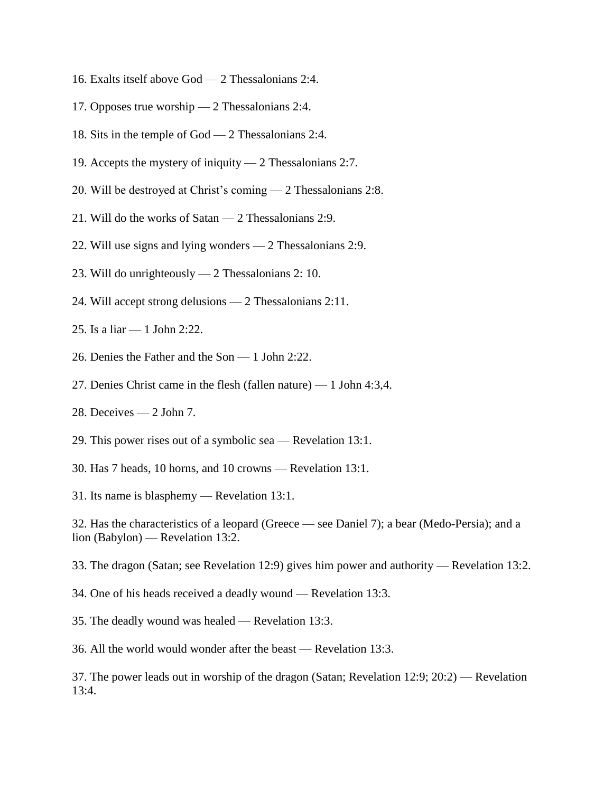- 16. Exalts itself above God 2 Thessalonians 2:4.
- 17. Opposes true worship 2 Thessalonians 2:4.
- 18. Sits in the temple of God 2 Thessalonians 2:4.
- 19. Accepts the mystery of iniquity 2 Thessalonians 2:7.
- 20. Will be destroyed at Christ's coming 2 Thessalonians 2:8.
- 21. Will do the works of Satan 2 Thessalonians 2:9.
- 22. Will use signs and lying wonders 2 Thessalonians 2:9.
- 23. Will do unrighteously 2 Thessalonians 2: 10.
- 24. Will accept strong delusions 2 Thessalonians 2:11.
- 25. Is a liar 1 John 2:22.
- 26. Denies the Father and the Son 1 John 2:22.
- 27. Denies Christ came in the flesh (fallen nature) 1 John 4:3,4.
- 28. Deceives 2 John 7.
- 29. This power rises out of a symbolic sea Revelation 13:1.
- 30. Has 7 heads, 10 horns, and 10 crowns Revelation 13:1.
- 31. Its name is blasphemy Revelation 13:1.

32. Has the characteristics of a leopard (Greece — see Daniel 7); a bear (Medo-Persia); and a lion (Babylon) — Revelation 13:2.

- 33. The dragon (Satan; see Revelation 12:9) gives him power and authority Revelation 13:2.
- 34. One of his heads received a deadly wound Revelation 13:3.
- 35. The deadly wound was healed Revelation 13:3.

36. All the world would wonder after the beast — Revelation 13:3.

37. The power leads out in worship of the dragon (Satan; Revelation 12:9; 20:2) — Revelation 13:4.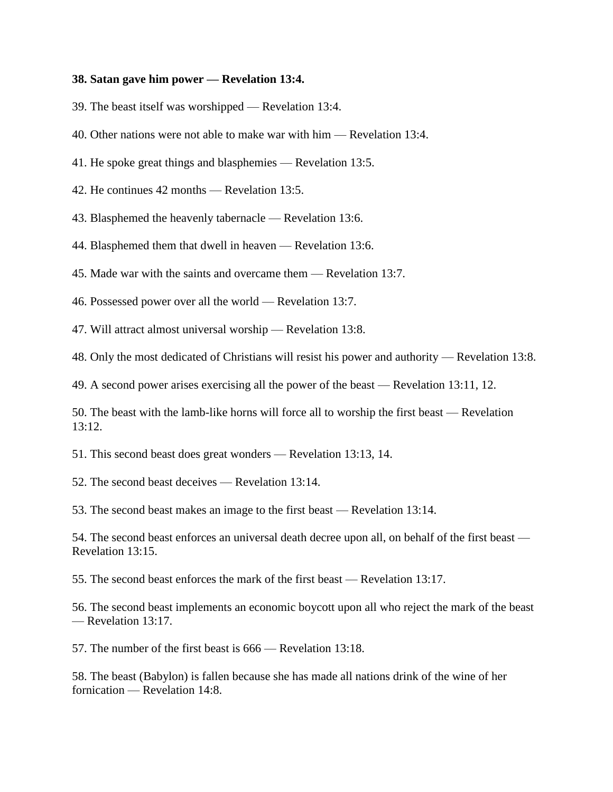## **38. Satan gave him power — Revelation 13:4.**

39. The beast itself was worshipped — Revelation 13:4.

40. Other nations were not able to make war with him — Revelation 13:4.

41. He spoke great things and blasphemies — Revelation 13:5.

42. He continues 42 months — Revelation 13:5.

43. Blasphemed the heavenly tabernacle — Revelation 13:6.

44. Blasphemed them that dwell in heaven — Revelation 13:6.

45. Made war with the saints and overcame them — Revelation 13:7.

46. Possessed power over all the world — Revelation 13:7.

47. Will attract almost universal worship — Revelation 13:8.

48. Only the most dedicated of Christians will resist his power and authority — Revelation 13:8.

49. A second power arises exercising all the power of the beast — Revelation 13:11, 12.

50. The beast with the lamb-like horns will force all to worship the first beast — Revelation 13:12.

51. This second beast does great wonders — Revelation 13:13, 14.

52. The second beast deceives — Revelation 13:14.

53. The second beast makes an image to the first beast — Revelation 13:14.

54. The second beast enforces an universal death decree upon all, on behalf of the first beast — Revelation 13:15.

55. The second beast enforces the mark of the first beast — Revelation 13:17.

56. The second beast implements an economic boycott upon all who reject the mark of the beast — Revelation 13:17.

57. The number of the first beast is 666 — Revelation 13:18.

58. The beast (Babylon) is fallen because she has made all nations drink of the wine of her fornication — Revelation 14:8.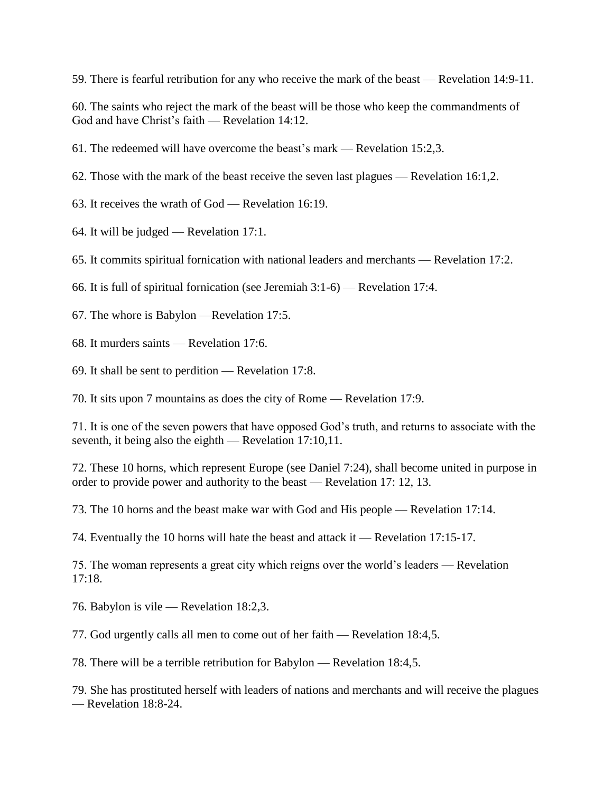59. There is fearful retribution for any who receive the mark of the beast — Revelation 14:9-11.

60. The saints who reject the mark of the beast will be those who keep the commandments of God and have Christ's faith — Revelation 14:12.

61. The redeemed will have overcome the beast's mark — Revelation 15:2,3.

62. Those with the mark of the beast receive the seven last plagues — Revelation 16:1,2.

63. It receives the wrath of God — Revelation 16:19.

64. It will be judged — Revelation 17:1.

65. It commits spiritual fornication with national leaders and merchants — Revelation 17:2.

66. It is full of spiritual fornication (see Jeremiah 3:1-6) — Revelation 17:4.

67. The whore is Babylon —Revelation 17:5.

68. It murders saints — Revelation 17:6.

69. It shall be sent to perdition — Revelation 17:8.

70. It sits upon 7 mountains as does the city of Rome — Revelation 17:9.

71. It is one of the seven powers that have opposed God's truth, and returns to associate with the seventh, it being also the eighth — Revelation 17:10,11.

72. These 10 horns, which represent Europe (see Daniel 7:24), shall become united in purpose in order to provide power and authority to the beast — Revelation 17: 12, 13.

73. The 10 horns and the beast make war with God and His people — Revelation 17:14.

74. Eventually the 10 horns will hate the beast and attack it — Revelation 17:15-17.

75. The woman represents a great city which reigns over the world's leaders — Revelation 17:18.

76. Babylon is vile — Revelation 18:2,3.

77. God urgently calls all men to come out of her faith — Revelation 18:4,5.

78. There will be a terrible retribution for Babylon — Revelation 18:4,5.

79. She has prostituted herself with leaders of nations and merchants and will receive the plagues — Revelation 18:8-24.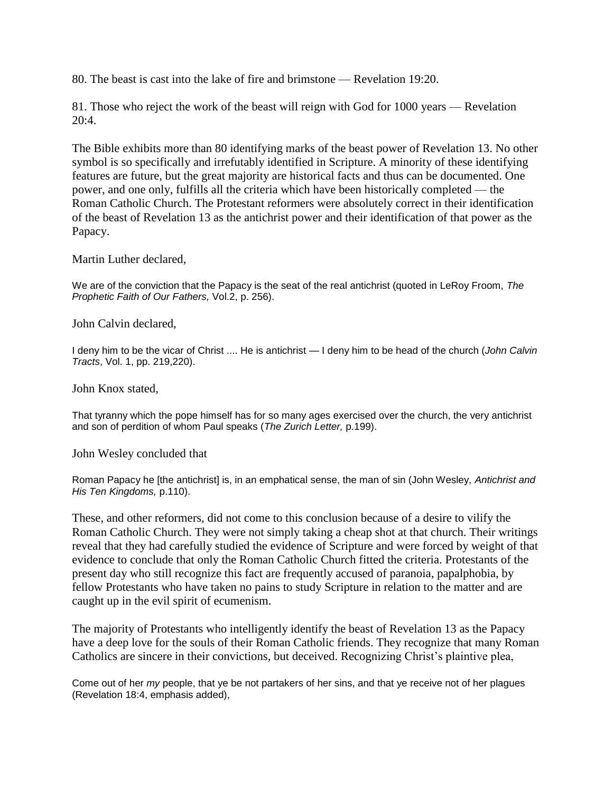80. The beast is cast into the lake of fire and brimstone — Revelation 19:20.

81. Those who reject the work of the beast will reign with God for 1000 years — Revelation 20:4.

The Bible exhibits more than 80 identifying marks of the beast power of Revelation 13. No other symbol is so specifically and irrefutably identified in Scripture. A minority of these identifying features are future, but the great majority are historical facts and thus can be documented. One power, and one only, fulfills all the criteria which have been historically completed — the Roman Catholic Church. The Protestant reformers were absolutely correct in their identification of the beast of Revelation 13 as the antichrist power and their identification of that power as the Papacy.

Martin Luther declared,

We are of the conviction that the Papacy is the seat of the real antichrist (quoted in LeRoy Froom, *The Prophetic Faith of Our Fathers,* Vol.2, p. 256).

John Calvin declared,

I deny him to be the vicar of Christ .... He is antichrist — I deny him to be head of the church (*John Calvin Tracts*, Vol. 1, pp. 219,220).

John Knox stated,

That tyranny which the pope himself has for so many ages exercised over the church, the very antichrist and son of perdition of whom Paul speaks (*The Zurich Letter,* p.199).

John Wesley concluded that

Roman Papacy he [the antichrist] is, in an emphatical sense, the man of sin (John Wesley, *Antichrist and His Ten Kingdoms,* p.110).

These, and other reformers, did not come to this conclusion because of a desire to vilify the Roman Catholic Church. They were not simply taking a cheap shot at that church. Their writings reveal that they had carefully studied the evidence of Scripture and were forced by weight of that evidence to conclude that only the Roman Catholic Church fitted the criteria. Protestants of the present day who still recognize this fact are frequently accused of paranoia, papalphobia, by fellow Protestants who have taken no pains to study Scripture in relation to the matter and are caught up in the evil spirit of ecumenism.

The majority of Protestants who intelligently identify the beast of Revelation 13 as the Papacy have a deep love for the souls of their Roman Catholic friends. They recognize that many Roman Catholics are sincere in their convictions, but deceived. Recognizing Christ's plaintive plea,

Come out of her *my* people, that ye be not partakers of her sins, and that ye receive not of her plagues (Revelation 18:4, emphasis added),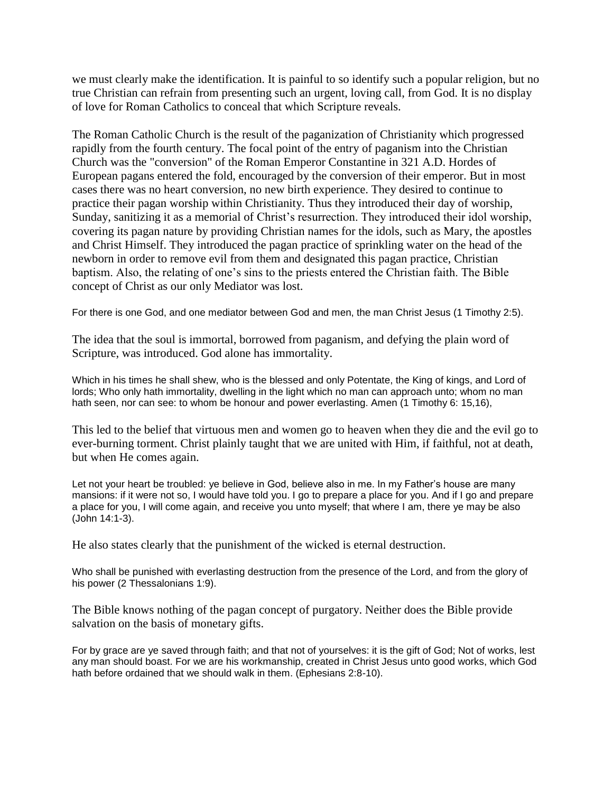we must clearly make the identification. It is painful to so identify such a popular religion, but no true Christian can refrain from presenting such an urgent, loving call, from God. It is no display of love for Roman Catholics to conceal that which Scripture reveals.

The Roman Catholic Church is the result of the paganization of Christianity which progressed rapidly from the fourth century. The focal point of the entry of paganism into the Christian Church was the "conversion" of the Roman Emperor Constantine in 321 A.D. Hordes of European pagans entered the fold, encouraged by the conversion of their emperor. But in most cases there was no heart conversion, no new birth experience. They desired to continue to practice their pagan worship within Christianity. Thus they introduced their day of worship, Sunday, sanitizing it as a memorial of Christ's resurrection. They introduced their idol worship, covering its pagan nature by providing Christian names for the idols, such as Mary, the apostles and Christ Himself. They introduced the pagan practice of sprinkling water on the head of the newborn in order to remove evil from them and designated this pagan practice, Christian baptism. Also, the relating of one's sins to the priests entered the Christian faith. The Bible concept of Christ as our only Mediator was lost.

For there is one God, and one mediator between God and men, the man Christ Jesus (1 Timothy 2:5).

The idea that the soul is immortal, borrowed from paganism, and defying the plain word of Scripture, was introduced. God alone has immortality.

Which in his times he shall shew, who is the blessed and only Potentate, the King of kings, and Lord of lords; Who only hath immortality, dwelling in the light which no man can approach unto; whom no man hath seen, nor can see: to whom be honour and power everlasting. Amen (1 Timothy 6: 15,16),

This led to the belief that virtuous men and women go to heaven when they die and the evil go to ever-burning torment. Christ plainly taught that we are united with Him, if faithful, not at death, but when He comes again.

Let not your heart be troubled: ye believe in God, believe also in me. In my Father's house are many mansions: if it were not so, I would have told you. I go to prepare a place for you. And if I go and prepare a place for you, I will come again, and receive you unto myself; that where I am, there ye may be also (John 14:1-3).

He also states clearly that the punishment of the wicked is eternal destruction.

Who shall be punished with everlasting destruction from the presence of the Lord, and from the glory of his power (2 Thessalonians 1:9).

The Bible knows nothing of the pagan concept of purgatory. Neither does the Bible provide salvation on the basis of monetary gifts.

For by grace are ye saved through faith; and that not of yourselves: it is the gift of God; Not of works, lest any man should boast. For we are his workmanship, created in Christ Jesus unto good works, which God hath before ordained that we should walk in them. (Ephesians 2:8-10).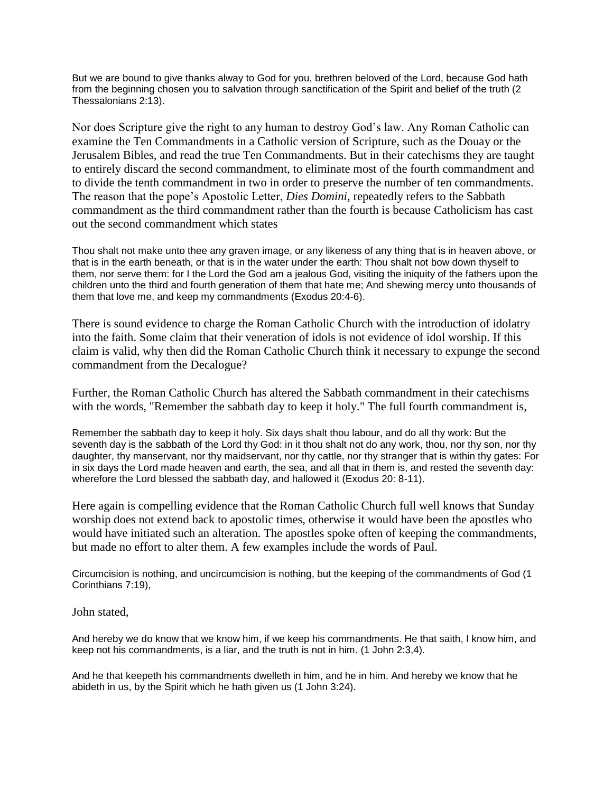But we are bound to give thanks alway to God for you, brethren beloved of the Lord, because God hath from the beginning chosen you to salvation through sanctification of the Spirit and belief of the truth (2) Thessalonians 2:13).

Nor does Scripture give the right to any human to destroy God's law. Any Roman Catholic can examine the Ten Commandments in a Catholic version of Scripture, such as the Douay or the Jerusalem Bibles, and read the true Ten Commandments. But in their catechisms they are taught to entirely discard the second commandment, to eliminate most of the fourth commandment and to divide the tenth commandment in two in order to preserve the number of ten commandments. The reason that the pope's Apostolic Letter, *Dies Domini*, repeatedly refers to the Sabbath commandment as the third commandment rather than the fourth is because Catholicism has cast out the second commandment which states

Thou shalt not make unto thee any graven image, or any likeness of any thing that is in heaven above, or that is in the earth beneath, or that is in the water under the earth: Thou shalt not bow down thyself to them, nor serve them: for I the Lord the God am a jealous God, visiting the iniquity of the fathers upon the children unto the third and fourth generation of them that hate me; And shewing mercy unto thousands of them that love me, and keep my commandments (Exodus 20:4-6).

There is sound evidence to charge the Roman Catholic Church with the introduction of idolatry into the faith. Some claim that their veneration of idols is not evidence of idol worship. If this claim is valid, why then did the Roman Catholic Church think it necessary to expunge the second commandment from the Decalogue?

Further, the Roman Catholic Church has altered the Sabbath commandment in their catechisms with the words, "Remember the sabbath day to keep it holy." The full fourth commandment is,

Remember the sabbath day to keep it holy. Six days shalt thou labour, and do all thy work: But the seventh day is the sabbath of the Lord thy God: in it thou shalt not do any work, thou, nor thy son, nor thy daughter, thy manservant, nor thy maidservant, nor thy cattle, nor thy stranger that is within thy gates: For in six days the Lord made heaven and earth, the sea, and all that in them is, and rested the seventh day: wherefore the Lord blessed the sabbath day, and hallowed it (Exodus 20: 8-11).

Here again is compelling evidence that the Roman Catholic Church full well knows that Sunday worship does not extend back to apostolic times, otherwise it would have been the apostles who would have initiated such an alteration. The apostles spoke often of keeping the commandments, but made no effort to alter them. A few examples include the words of Paul.

Circumcision is nothing, and uncircumcision is nothing, but the keeping of the commandments of God (1 Corinthians 7:19),

John stated,

And hereby we do know that we know him, if we keep his commandments. He that saith, I know him, and keep not his commandments, is a liar, and the truth is not in him. (1 John 2:3,4).

And he that keepeth his commandments dwelleth in him, and he in him. And hereby we know that he abideth in us, by the Spirit which he hath given us (1 John 3:24).